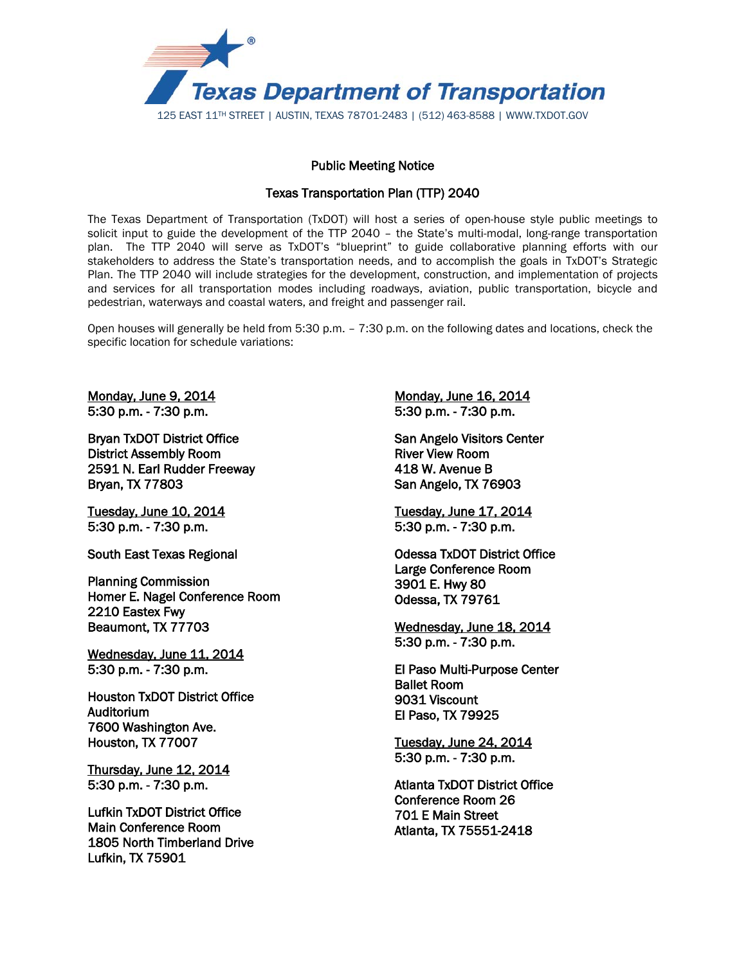

## Public Meeting Notice

## Texas Transportation Plan (TTP) 2040

The Texas Department of Transportation (TxDOT) will host a series of open-house style public meetings to solicit input to guide the development of the TTP 2040 – the State's multi-modal, long-range transportation plan. The TTP 2040 will serve as TxDOT's "blueprint" to guide collaborative planning efforts with our stakeholders to address the State's transportation needs, and to accomplish the goals in TxDOT's Strategic Plan. The TTP 2040 will include strategies for the development, construction, and implementation of projects and services for all transportation modes including roadways, aviation, public transportation, bicycle and pedestrian, waterways and coastal waters, and freight and passenger rail.

Open houses will generally be held from 5:30 p.m. – 7:30 p.m. on the following dates and locations, check the specific location for schedule variations:

Monday, June 9, 2014 5:30 p.m. - 7:30 p.m.

Bryan TxDOT District Office District Assembly Room 2591 N. Earl Rudder Freeway Bryan, TX 77803

Tuesday, June 10, 2014 5:30 p.m. - 7:30 p.m.

South East Texas Regional

Planning Commission Homer E. Nagel Conference Room 2210 Eastex Fwy Beaumont, TX 77703

Wednesday, June 11, 2014 5:30 p.m. - 7:30 p.m.

Houston TxDOT District Office Auditorium 7600 Washington Ave. Houston, TX 77007

Thursday, June 12, 2014 5:30 p.m. - 7:30 p.m.

Lufkin TxDOT District Office Main Conference Room 1805 North Timberland Drive Lufkin, TX 75901

Monday, June 16, 2014 5:30 p.m. - 7:30 p.m.

San Angelo Visitors Center River View Room 418 W. Avenue B San Angelo, TX 76903

Tuesday, June 17, 2014 5:30 p.m. - 7:30 p.m.

Odessa TxDOT District Office Large Conference Room 3901 E. Hwy 80 Odessa, TX 79761

Wednesday, June 18, 2014 5:30 p.m. - 7:30 p.m.

El Paso Multi-Purpose Center Ballet Room 9031 Viscount El Paso, TX 79925

Tuesday, June 24, 2014 5:30 p.m. - 7:30 p.m.

Atlanta TxDOT District Office Conference Room 26 701 E Main Street Atlanta, TX 75551-2418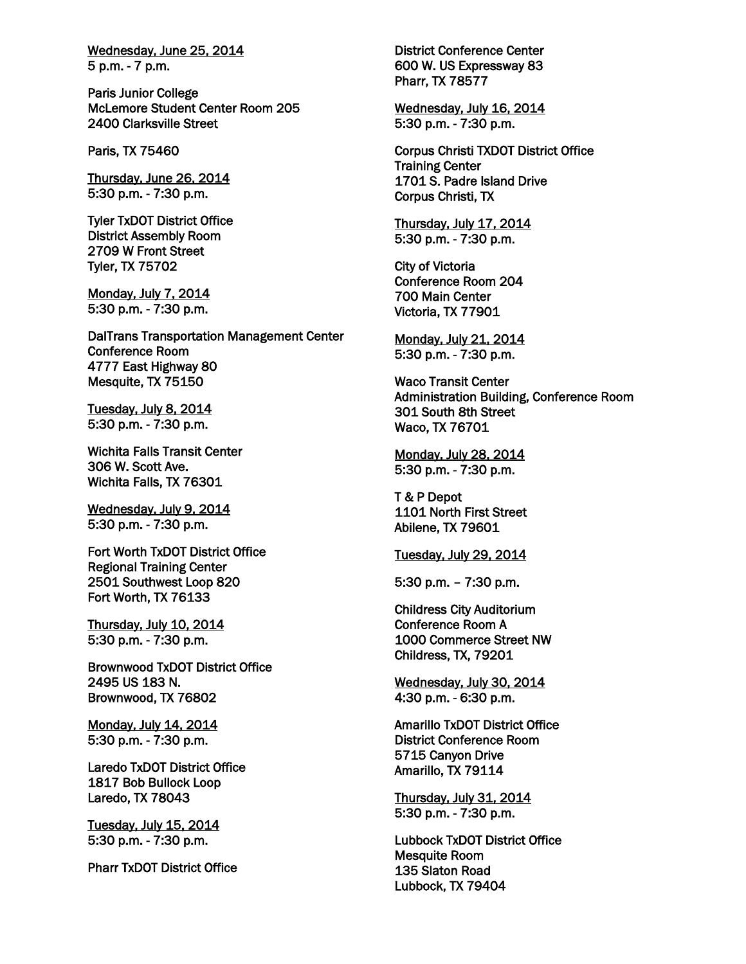Wednesday, June 25, 2014 5 p.m. - 7 p.m.

Paris Junior College McLemore Student Center Room 205 2400 Clarksville Street

Paris, TX 75460

Thursday, June 26, 2014 5:30 p.m. - 7:30 p.m.

Tyler TxDOT District Office District Assembly Room 2709 W Front Street Tyler, TX 75702

Monday, July 7, 2014 5:30 p.m. - 7:30 p.m.

DalTrans Transportation Management Center Conference Room 4777 East Highway 80 Mesquite, TX 75150

Tuesday, July 8, 2014 5:30 p.m. - 7:30 p.m.

Wichita Falls Transit Center 306 W. Scott Ave. Wichita Falls, TX 76301

Wednesday, July 9, 2014 5:30 p.m. - 7:30 p.m.

Fort Worth TxDOT District Office Regional Training Center 2501 Southwest Loop 820 Fort Worth, TX 76133

Thursday, July 10, 2014 5:30 p.m. - 7:30 p.m.

Brownwood TxDOT District Office 2495 US 183 N. Brownwood, TX 76802

Monday, July 14, 2014 5:30 p.m. - 7:30 p.m.

Laredo TxDOT District Office 1817 Bob Bullock Loop Laredo, TX 78043

Tuesday, July 15, 2014 5:30 p.m. - 7:30 p.m.

Pharr TxDOT District Office

District Conference Center 600 W. US Expressway 83 Pharr, TX 78577

Wednesday, July 16, 2014 5:30 p.m. - 7:30 p.m.

Corpus Christi TXDOT District Office Training Center 1701 S. Padre Island Drive Corpus Christi, TX

Thursday, July 17, 2014 5:30 p.m. - 7:30 p.m.

City of Victoria Conference Room 204 700 Main Center Victoria, TX 77901

Monday, July 21, 2014 5:30 p.m. - 7:30 p.m.

Waco Transit Center Administration Building, Conference Room 301 South 8th Street Waco, TX 76701

Monday, July 28, 2014 5:30 p.m. - 7:30 p.m.

T & P Depot 1101 North First Street Abilene, TX 79601

Tuesday, July 29, 2014

5:30 p.m. – 7:30 p.m.

Childress City Auditorium Conference Room A 1000 Commerce Street NW Childress, TX, 79201

Wednesday, July 30, 2014 4:30 p.m. - 6:30 p.m.

Amarillo TxDOT District Office District Conference Room 5715 Canyon Drive Amarillo, TX 79114

Thursday, July 31, 2014 5:30 p.m. - 7:30 p.m.

Lubbock TxDOT District Office Mesquite Room 135 Slaton Road Lubbock, TX 79404